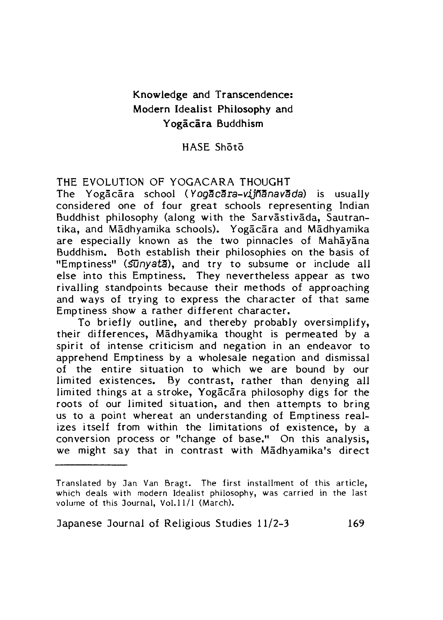# Knowledge and Transcendence: Modern Idealist Philosophy and Yogācāra Buddhism

## HASE Shoto

#### THE EVOLUTION OF YOGACARA THOUGHT

The Yogacara school (Yogacara-vijñanavada) is usually considered one of four great schools representing Indian Buddhist philosophy (along with the Sarvastivada, Sautrantika, and Madhyamika schools). Yogacara and Madhyamika are especially known as the two pinnacles of Mahayana Buddhism. Both establish their philosophies on the basis of "Emptiness" (SUnyata), and try to subsume or include all else into this Emptiness. They nevertheless appear as two rivalling standpoints because their methods of approaching and ways of trying to express the character of that same Emptiness show a rather different character.

To briefly outline, and thereby probably oversimplify, their differences, Madhyamika thought is permeated by a spirit of intense criticism and negation in an endeavor to apprehend Emptiness by a wholesale negation and dismissal of the entire situation to which we are bound by our limited existences. By contrast, rather than denying all limited things at a stroke, Yogacara philosophy digs for the roots of our limited situation, and then attempts to bring us to a point whereat an understanding of Emptiness realizes itself from within the limitations of existence, by a conversion process or "change of base," On this analysis, we might say that in contrast with Madhyamika's direct

Translated by ]an Van Bragt. The first installment of this article, which deals with modern Idealist philosophy, was carried in the last volume of this Journal, Vol.11/1 (March).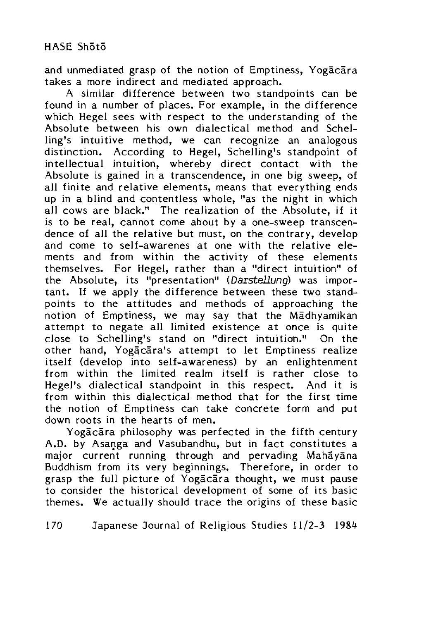and unmediated grasp of the notion of Emptiness, Yogacara takes a more indirect and mediated approach.

A similar difference between two standpoints can be found in a number of places. For example, in the difference which Hegel sees with respect to the understanding of the Absolute between his own dialectical method and Schelling's intuitive method, we can recognize an analogous distinction. According to Hegel, Schelling's standpoint of intellectual intuition, whereby direct contact with the Absolute is gained in a transcendence, in one big sweep, of all finite and relative elements, means that everything ends up in a blind and contentless whole, "as the night in which all cows are black." The realization of the Absolute, if it is to be real, cannot come about by a one-sweep transcendence of all the relative but must, on the contrary, develop and come to self-awarenes at one with the relative elements and from within the activity of these elements themselves. For Hegel, rather than a "direct intuition" of the Absolute, its "presentation" (Darstellung) was important. If we apply the difference between these two standpoints to the attitudes and methods of approaching the notion of Emptiness, we may say that the Madhyamikan attempt to negate all limited existence at once is quite close to Schelling's stand on "direct intuition." On the other hand, Yogacara's attempt to let Emptiness realize itself (develop into self-awareness) by an enlightenment from within the limited realm itself is rather close to Hegel's dialectical standpoint in this respect. And it is from within this dialectical method that for the first time the notion of Emptiness can take concrete form and put down roots in the hearts of men.

Yogacara philosophy was perfected in the fifth century A.D. by Asanga and Vasubandhu, but in fact constitutes a major current running through and pervading Mahayana Buddhism from its very beginnings. Therefore, in order to grasp the full picture of Yogacara thought, we must pause to consider the historical development of some of its basic themes. We actually should trace the origins of these basic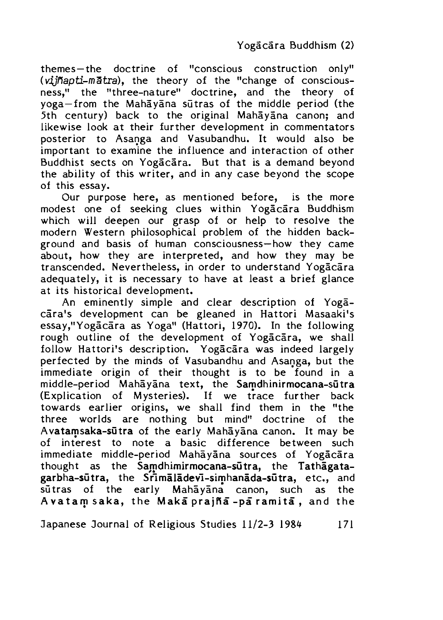themes —the doctrine of "conscious construction only'1 *(viiñapti-mātra)*, the theory of the "change of consciousness," the "three-nature" doctrine, and the theory of yoga—from the Mahayana sutras of the middle period (the 5th century) back to the original Mahayana canon; and likewise look at their further development in commentators posterior to Asanga and Vasubandhu. It would also be important to examine the influence and interaction of other Buddhist sects on Yogacara. But that is a demand beyond the ability of this writer, and in any case beyond the scope of this essay.

Our purpose here, as mentioned before, is the more modest one of seeking clues within Yogacara Buddhism which will deepen our grasp of or help to resolve the modern Western philosophical problem of the hidden background and basis of human consciousness—how they came about, how they are interpreted, and how they may be transcended. Nevertheless, in order to understand Yogacara adequately, it is necessary to have at least a brief glance at its historical development.

An eminently simple and clear description of Yogacara's development can be gleaned in Hattori Masaaki's essay,"Yogacara as Yoga" (Hattori, 1970). In the following rough outline of the development of Yogacara, we shall follow Hattori's description. Yogacara was indeed largely perfected by the minds of Vasubandhu and Asanga, but the immediate origin of their thought is to be found in a middle-period Mahayana text, the Samdhinirmocana-sutra (Explication of Mysteries). If we trace further back towards earlier origins, we shall find them in the "the three worlds are nothing but mind" doctrine of the Avatamsaka-sūtra of the early Mahayana canon. It may be of interest to note a basic difference between such immediate middle-period Mahayana sources of Yogacara thought as the Samdhimirmocana-sultra, the Tathagatagarbha-sūtra, the Srimaladevi-simhanada-sūtra, etc., and sūtras of the early Mahayana canon, such as the A v a tam s a k a, the Maka prajña -pa ramita, and the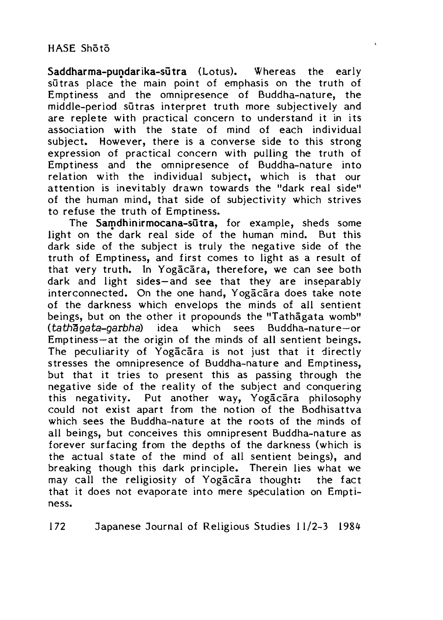Saddharma-pundarika-sutra (Lotus). Whereas the early sutras place the main point of emphasis on the truth of Emptiness and the omnipresence of Buddha-nature, the middle-period sutras interpret truth more subjectively and are replete with practical concern to understand it in its association with the state of mind of each individual subject. However, there is a converse side to this strong expression of practical concern with pulling the truth of Emptiness and the omnipresence of Buddha-nature into relation with the individual subject, which is that our attention is inevitably drawn towards the "dark real side" of the human mind, that side of subjectivity which strives to refuse the truth of Emptiness.

The Samdhinirmocana-sutra, for example, sheds some light on the dark real side of the human mind. But this dark side of the subject is truly the negative side of the truth of Emptiness, and first comes to light as a result of that very truth. In Yogacara, therefore, we can see both dark and light sides—and see that they are inseparably interconnected. On the one hand, Yogacara does take note of the darkness which envelops the minds of all sentient beings, but on the other it propounds the "Tathagata womb" *(tath gata-garbh a)* idea which sees Buddha-nature—or Emptiness—at the origin of the minds of all sentient beings. The peculiarity of Yogacara is not just that it directly stresses the omnipresence of Buddha-nature and Emptiness, but that it tries to present this as passing through the negative side of the reality of the subject and conquering this negativity. Put another way, Yogacara philosophy could not exist apart from the notion of the Bodhisattva which sees the Buddha-nature at the roots of the minds of all beings, but conceives this omnipresent Buddha-nature as forever surfacing from the depths of the darkness (which is the actual state of the mind of all sentient beings), and breaking though this dark principle. Therein lies what we may call the religiosity of Yogacara thought: the fact that it does not evaporate into mere speculation on Emptiness.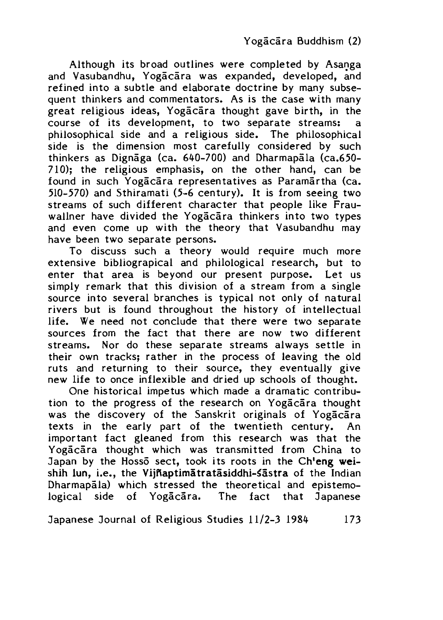Although its broad outlines were completed by Asanga and Vasubandhu, Yogacara was expanded, developed, and refined into a subtle and elaborate doctrine by many subsequent thinkers and commentators. As is the case with many great religious ideas, Yogacara thought gave birth, in the course of its development, to two separate streams: a philosophical side and a religious side. The philosophical side is the dimension most carefully considered by such thinkers as Dignāga (ca. 640-700) and Dharmapala (ca.650-710); the religious emphasis, on the other hand, can be found in such Yogacara representatives as Paramartha (ca. 510-570) and Sthiramati (5-6 century). It is from seeing two streams of such different character that people like Frauwallner have divided the Yogacara thinkers into two types and even come up with the theory that Vasubandhu may have been two separate persons.

To discuss such a theory would require much more extensive bibliograpical and philological research, but to enter that area is beyond our present purpose. Let us simply remark that this division of a stream from a single source into several branches is typical not only of natural rivers but is found throughout the history of intellectual life. We need not conclude that there were two separate sources from the fact that there are now two different streams. Nor do these separate streams always settle in their own tracks; rather in the process of leaving the old ruts and returning to their source, they eventually give new life to once inflexible and dried up schools of thought.

One historical impetus which made a dramatic contribution to the progress of the research on Yogacara thought was the discovery of the Sanskrit originals of Yogacara texts in the early part of the twentieth century. An important fact gleaned from this research was that the Yogacara thought which was transmitted from China to Japan by the Hossō sect, took its roots in the Ch'eng weishih lun, i.e., the Vijñaptimātratāsiddhi-sāstra of the Indian Dharmapala) which stressed the theoretical and epistemological side of Yogacara. The fact that Japanese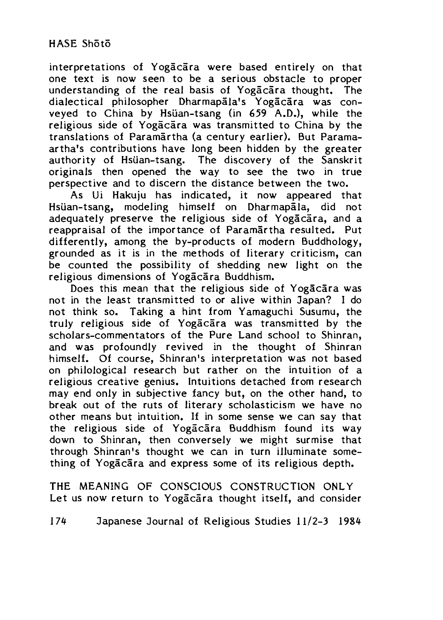interpretations of Yogacara were based entirely on that one text is now seen to be a serious obstacle to proper understanding of the real basis of Yogacara thought. The dialectical philosopher Dharmapala's Yogacara was conveyed to China by Hsiian-tsang (in 659 A.D.), while the religious side of Yogacara was transmitted to China by the translations of Paramartha (a century earlier). But Paramaartha's contributions have long been hidden by the greater authority of Hsiian-tsang, The discovery of the Sanskrit originals then opened the way to see the two in true perspective and to discern the distance between the two.

As Ui Hakuju has indicated, it now appeared that Hsüan-tsang, modeling himself on Dharmapala, did not adequately preserve the religious side of Yogacara, and a reappraisal of the importance of Paramartha resulted. Put differently, among the by-products of modern Buddhology, grounded as it is in the methods of literary criticism, can be counted the possibility of shedding new light on the religious dimensions of Yogacara Buddhism.

Does this mean that the religious side of Yogacara was not in the least transmitted to or alive within Japan? I do not think so. Taking a hint from Yamaguchi Susumu, the truly religious side of Yogacara was transmitted by the scholars-commentators of the Pure Land school to Shinran, and was profoundly revived in the thought of Shinran himself. Of course, Shinran's interpretation was not based on philological research but rather on the intuition of a religious creative genius. Intuitions detached from research may end only in subjective fancy but, on the other hand, to break out of the ruts of literary scholasticism we have no other means but intuition. If in some sense we can say that the religious side of Yogacara Buddhism found its way down to Shinran, then conversely we might surmise that through Shinran's thought we can in turn illuminate something of Yogacara and express some of its religious depth.

THE MEANING OF CONSCIOUS CONSTRUCTION ONLY Let us now return to Yogacara thought itself, and consider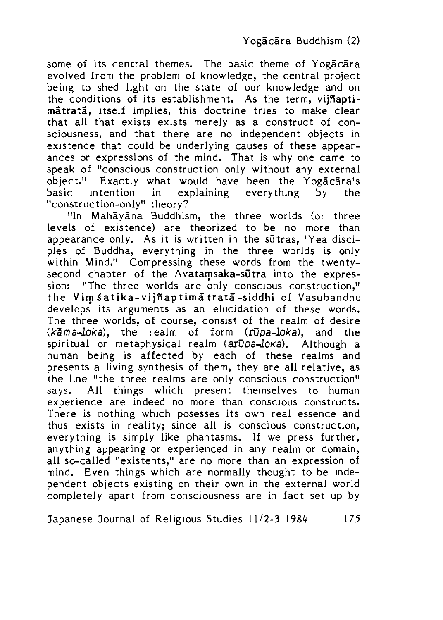some of its central themes. The basic theme of Yogacara evolved from the problem of knowledge, the central project being to shed light on the state of our knowledge and on the conditions of its establishment. As the term, vijRaptimātratā, itself implies, this doctrine tries to make clear that all that exists exists merely as a construct of consciousness, and that there are no independent objects in existence that could be underlying causes of these appearances or expressions of the mind. That is why one came to speak of "conscious construction only without any external object." Exactly what would have been the Yogacara's basic intention in explaining everything by the "construction-only" theory?

"In Mahayana Buddhism, the three worlds (or three levels of existence) are theorized to be no more than appearance only. As it is written in the sutras, 'Yea disciples of Buddha, everything in the three worlds is only within Mind." Compressing these words from the twentysecond chapter of the Avatamsaka-sutra into the expression: "The three worlds are only conscious construction," the Vim Satika-vijñaptima trata-siddhi of Vasubandhu develops its arguments as an elucidation of these words. The three worlds, of course, consist of the realm of desire *(k'Sma-loka),* the realm of form *(rupa-loka),* and the spiritual or metaphysical realm *(arupa-loka).* Although a human being is affected by each of these realms and presents a living synthesis of them, they are all relative, as the line "the three realms are only conscious construction" says. All things which present themselves to human experience are indeed no more than conscious constructs. There is nothing which posesses its own real essence and thus exists in reality; since all is conscious construction, everything is simply like phantasms. If we press further, anything appearing or experienced in any realm or domain, all so-called "existents," are no more than an expression of mind. Even things which are normally thought to be independent objects existing on their own in the external world completely apart from consciousness are in fact set up by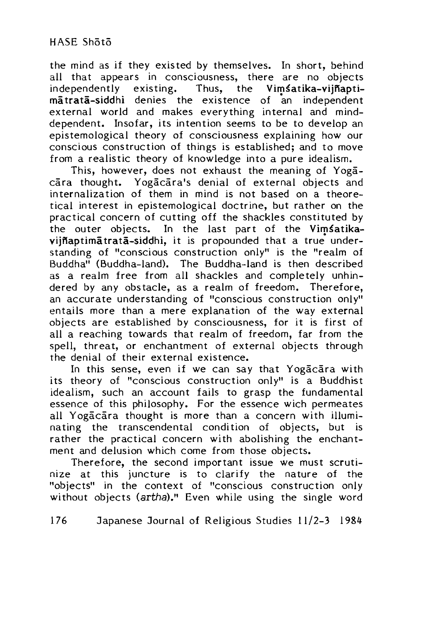the mind as if they existed by themselves. In short, behind all that appears in consciousness, there are no objects independently existing. Thus, the Vimsatika-vijñapti-Thus, the Vimsatika-vijnaptimatrata-siddhi denies the existence of an independent external world and makes everything internal and minddependent. Insofar, its intention seems to be to develop an epistemological theory of consciousness explaining how our conscious construction of things is established; and to move from a realistic theory of knowledge into a pure idealism.

This, however, does not exhaust the meaning of Yogacara thought. Yogacara's denial of external objects and internalization of them in mind is not based on a theoretical interest in epistemological doctrine, but rather on the practical concern of cutting off the shackles constituted by the outer objects. In the last part of the Vimsatikavijfiaptimatrata-siddhi, it is propounded that a true understanding of "conscious construction only" is the "realm of Buddha" (Buddha-land). The Buddha-land is then described as a realm free from all shackles and completely unhindered by any obstacle, as a realm of freedom. Therefore, an accurate understanding of "conscious construction only" entails more than a mere explanation of the way external objects are established by consciousness, for it is first of all a reaching towards that realm of freedom, far from the spell, threat, or enchantment of external objects through the denial of their external existence.

In this sense, even if we can say that Yogacara with its theory of "conscious construction only" is a Buddhist idealism, such an account fails to grasp the fundamental essence of this philosophy. For the essence wich permeates all Yogacara thought is more than a concern with illuminating the transcendental condition of objects, but is rather the practical concern with abolishing the enchantment and delusion which come from those objects.

Therefore, the second important issue we must scrutinize at this juncture is to clarify the nature of the "objects" in the context of "conscious construction only without objects (artha)." Even while using the single word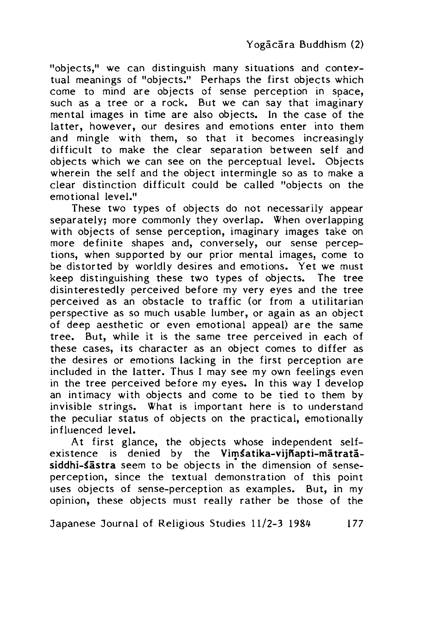"objects," we can distinguish many situations and contextual meanings of "objects." Perhaps the first objects which come to mind are objects of sense perception in space, such as a tree or a rock. But we can say that imaginary mental images in time are also objects. In the case of the latter, however, our desires and emotions enter into them and mingle with them, so that it becomes increasingly difficult to make the clear separation between self and objects which we can see on the perceptual level. Objects wherein the self and the object intermingle so as to make a clear distinction difficult could be called "objects on the emotional level."

These two types of objects do not necessarily appear separately: more commonly they overlap. When overlapping with objects of sense perception, imaginary images take on more definite shapes and, conversely, our sense perceptions, when supported by our prior mental images, come to be distorted by worldly desires and emotions. Yet we must keep distinguishing these two types of objects. The tree disinterestedly perceived before my very eyes and the tree perceived as an obstacle to traffic (or from a utilitarian perspective as so much usable lumber, or again as an object of deep aesthetic or even emotional appeal) are the same tree. But, while it is the same tree perceived in each of these cases, its character as an object comes to differ as the desires or emotions lacking in the first perception are included in the latter. Thus I may see my own feelings even in the tree perceived before my eyes. In this way I develop an intimacy with objects and come to be tied to them by invisible strings. What is important here is to understand the peculiar status of objects on the practical, emotionally influenced level.

At first glance, the objects whose independent self $e$  existence is denied by the Vimsatika-vijnapti-matratasiddhi-sästra seem to be objects in the dimension of senseperception, since the textual demonstration of this point uses objects of sense-perception as examples. But, in my opinion, these objects must really rather be those of the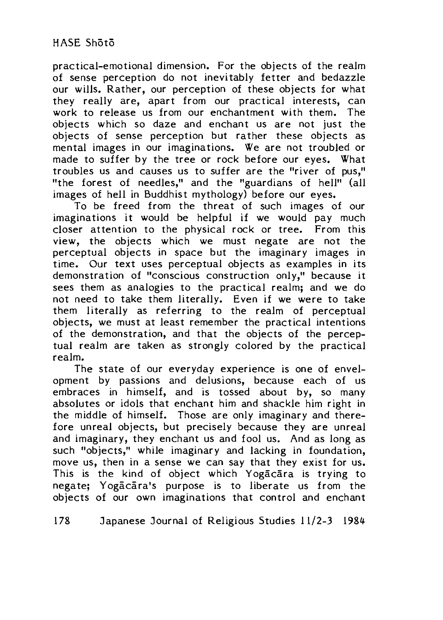practical-emotional dimension. For the objects of the realm of sense perception do not inevitably fetter and bedazzle our wills. Rather, our perception of these objects for what they really are, apart from our practical interests, can work to release us from our enchantment with them. The objects which so daze and enchant us are not just the objects of sense perception but rather these objects as mental images in our imaginations. We are not troubled or made to suffer by the tree or rock before our eyes. What troubles us and causes us to suffer are the "river of pus," "the forest of needles," and the "guardians of hell" (all images of hell in Buddhist mythology) before our eyes.

To be freed from the threat of such images of our imaginations it would be helpful if we would pay much closer attention to the physical rock or tree. From this view, the objects which we must negate are not the perceptual objects in space but the imaginary images in time. Our text uses perceptual objects as examples in its demonstration of "conscious construction only,'1 because it sees them as analogies to the practical realm; and we do not need to take them literally. Even if we were to take them literally as referring to the realm of perceptual objects, we must at least remember the practical intentions of the demonstration, and that the objects of the perceptual realm are taken as strongly colored by the practical realm.

The state of our everyday experience is one of envelopment by passions and delusions, because each of us embraces in himself, and is tossed about by, so many absolutes or idols that enchant him and shackle him right in the middle of himself. Those are only imaginary and therefore unreal objects, but precisely because they are unreal and imaginary, they enchant us and fool us. And as long as such "objects," while imaginary and lacking in foundation, move us, then in a sense we can say that they exist for us. This is the kind of object which Yogacara is trying to negate: Yogacara's purpose is to liberate us from the objects of our own imaginations that control and enchant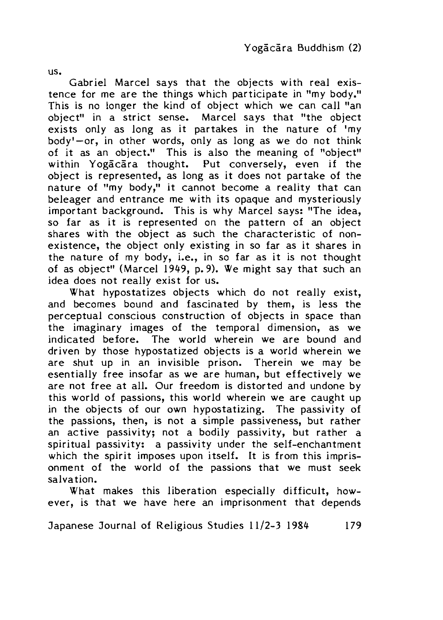us.

Gabriel Marcel says that the objects with real existence for me are the things which participate in "my body." This is no longer the kind of object which we can call "an object" in a strict sense. Marcel says that "the object exists only as long as it partakes in the nature of 'my body'—or, in other words, only as long as we do not think of it as an object." This is also the meaning of "object" within Yogacara thought. Put conversely, even if the object is represented, as long as it does not partake of the nature of "my body," it cannot become a reality that can beleager and entrance me with its opaque and mysteriously important background. This is why Marcel says: "The idea, so far as it is represented on the pattern of an object shares with the object as such the characteristic of nonexistence, the object only existing in so far as it shares in the nature of my body, i.e., in so far as it is not thought of as object" (Marcel 1949, p. 9). We might say that such an idea does not really exist for us.

What hypostatizes objects which do not really exist, and becomes bound and fascinated by them, is less the perceptual conscious construction of objects in space than the imaginary images of the temporal dimension, as we indicated before. The world wherein we are bound and driven by those hypostatized objects is a world wherein we are shut up in an invisible prison. Therein we may be esentially free insofar as we are human, but effectively we are not free at all. Our freedom is distorted and undone by this world of passions, this world wherein we are caught up in the objects of our own hypostatizing. The passivity of the passions, then, is not a simple passiveness, but rather an active passivity; not a bodily passivity, but rather a spiritual passivity: a passivity under the self-enchantment which the spirit imposes upon itself. It is from this imprisonment of the world of the passions that we must seek salvation.

What makes this liberation especially difficult, however, is that we have here an imprisonment that depends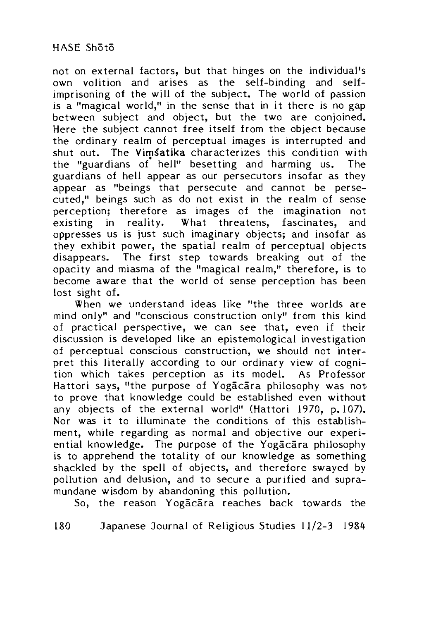not on external factors, but that hinges on the individual's own volition and arises as the self-binding and selfimprisoning of the will of the subject. The world of passion is a "magical world," in the sense that in it there is no gap between subject and object, but the two are conjoined. Here the subject cannot free itself from the object because the ordinary realm of perceptual images is interrupted and shut out. The Vimsatika characterizes this condition with the "guardians of hell" besetting and harming us. The guardians of hell appear as our persecutors insofar as they appear as "beings that persecute and cannot be persecuted," beings such as do not exist in the realm of sense perception; therefore as images of the imagination not existing in reality. What threatens, fascinates, and oppresses us is just such imaginary objects; and insofar as they exhibit power, the spatial realm of perceptual objects disappears. The first step towards breaking out of the opacity and miasma of the "magical realm," therefore, is to become aware that the world of sense perception has been lost sight of.

When we understand ideas like "the three worlds are mind only" and "conscious construction only" from this kind of practical perspective, we can see that, even if their discussion is developed like an epistemological investigation of perceptual conscious construction, we should not interpret this literally according to our ordinary view of cognition which takes perception as its model. As Professor Hattori says, "the purpose of Yogacara philosophy was not to prove that knowledge could be established even without any objects of the external world" (Hattori 1970, p. 107). Nor was it to illuminate the conditions of this establishment, while regarding as normal and objective our experiential knowledge. The purpose of the Yogacara philosophy is to apprehend the totality of our knowledge as something shackled by the spell of objects, and therefore swayed by pollution and delusion, and to secure a purified and supramundane wisdom by abandoning this pollution.

So, the reason Yogacara reaches back towards the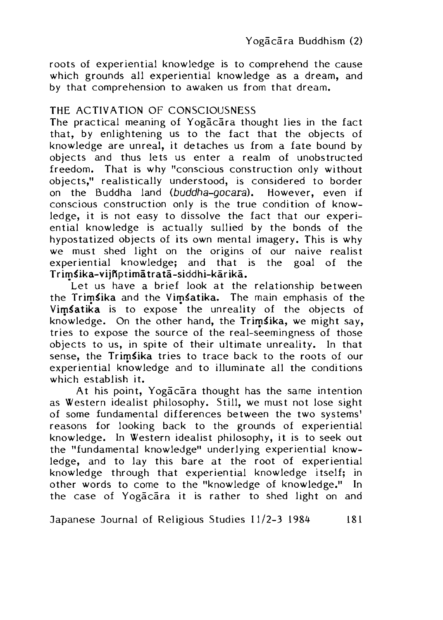roots of experiential knowledge is to comprehend the cause which grounds all experiential knowledge as a dream, and by that comprehension to awaken us from that dream.

## THE ACTIVATION OF CONSCIOUSNESS

The practical meaning of Yogacara thought lies in the fact that, by enlightening us to the fact that the objects of knowledge are unreal, it detaches us from a fate bound by objects and thus lets us enter a realm of unobstructed freedom. That is why "conscious construction only without objects," realistically understood, is considered to border on the Buddha land *(buddha-gocara).* However, even if conscious construction only is the true condition of knowledge, it is not easy to dissolve the fact that our experiential knowledge is actually sullied by the bonds of the hypostatized objects of its own mental imagery. This is why we must shed light on the origins of our naive realist experiential knowledge; and that is the goal of the Trim^ika-vijfiptimatrata-siddhi-karika.

Let us have a brief look at the relationship between the Trimsika and the Vimsatika. The main emphasis of the Vimsatika is to expose the unreality of the objects of knowledge. On the other hand, the Trimsika, we might say, tries to expose the source of the real-seemingness of those objects to us, in spite of their ultimate unreality. In that sense, the Trimsika tries to trace back to the roots of our experiential knowledge and to illuminate all the conditions which establish it.

At his point, Yogacara thought has the same intention as Western idealist philosophy. Still, we must not lose sight of some fundamental differences between the two systems' reasons for looking back to the grounds of experiential knowledge. In Western idealist philosophy, it is to seek out the "fundamental knowledge" underlying experiential knowledge, and to lay this bare at the root of experiential knowledge through that experiential knowledge itself; in other words to come to the "knowledge of knowledge." In the case of Yogacara it is rather to shed light on and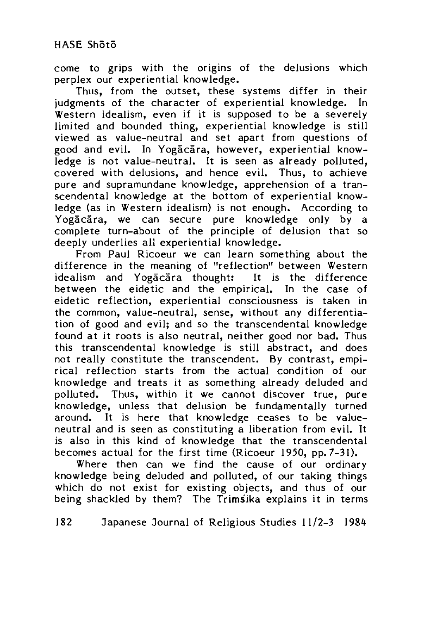come to grips with the origins of the delusions which perplex our experiential knowledge.

Thus, from the outset, these systems differ in their judgments of the character of experiential knowledge. In Western idealism, even if it is supposed to be a severely limited and bounded thing, experiential knowledge is still viewed as value-neutral and set apart from questions of good and evil. In Yogacara, however, experiential knowledge is not value-neutral. It is seen as already polluted, covered with delusions, and hence evil. Thus, to achieve pure and supramundane knowledge, apprehension of a transcendental knowledge at the bottom of experiential knowledge (as in Western idealism) is not enough. According to Yogacara, we can secure pure knowledge only by a complete turn-about of the principle of delusion that so deeply underlies all experiential knowledge.

From Paul Ricoeur we can learn something about the difference in the meaning of "reflection" between Western idealism and Yogacara thought: It is the difference between the eidetic and the empirical. In the case of eidetic reflection, experiential consciousness is taken in the common, value-neutral, sense, without any differentiation of good and evil; and so the transcendental knowledge found at it roots is also neutral, neither good nor bad. Thus this transcendental knowledge is still abstract, and does not really constitute the transcendent. By contrast, empirical reflection starts from the actual condition of our knowledge and treats it as something already deluded and polluted. Thus, within it we cannot discover true, pure knowledge, unless that delusion be fundamentally turned around. It is here that knowledge ceases to be valueneutral and is seen as constituting a liberation from evil. It is also in this kind of knowledge that the transcendental becomes actual for the first time (Ricoeur 1950, pp. 7-31).

Where then can we find the cause of our ordinary knowledge being deluded and polluted, of our taking things which do not exist for existing objects, and thus of our being shackled by them? The Trimsika explains it in terms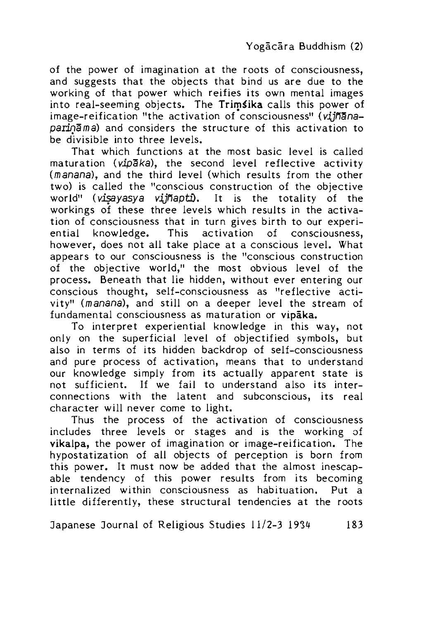of the power of imagination at the roots of consciousness, and suggests that the objects that bind us are due to the working of that power which reifies its own mental images into real-seeming objects. The Trimsika calls this power of image-reification "the activation of consciousness" (viinana*paiinaida)* and considers the structure of this activation to be divisible into three levels.

That which functions at the most basic level is called maturation *(vipaka),* the second level reflective activity (manana), and the third level (which results from the other two) is called the "conscious construction of the objective world" *(visayasya vijnapti).* It is the totality of the workings of these three levels which results in the activation of consciousness that in turn gives birth to our experiential knowledge. This activation of consciousness, however, does not all take place at a conscious level. What appears to our consciousness is the "conscious construction of the objective world," the most obvious level of the process. Beneath that lie hidden, without ever entering our conscious thought, self-consciousness as "reflective activity" (manana), and still on a deeper level the stream of fundamental consciousness as maturation or vipaka.

To interpret experiential knowledge in this way, not only on the superficial level of objectified symbols, but also in terms of its hidden backdrop of self-consciousness and pure process of activation, means that to understand our knowledge simply from its actually apparent state is not sufficient. If we fail to understand also its interconnections with the latent and subconscious, its real character will never come to light.

Thus the process of the activation of consciousness includes three levels or stages and is the working of vikalpa, the power of imagination or image-reification. The hypostatization of all objects of perception is born from this power. It must now be added that the almost inescapable tendency of this power results from its becoming internalized within consciousness as habituation. Put a little differently, these structural tendencies at the roots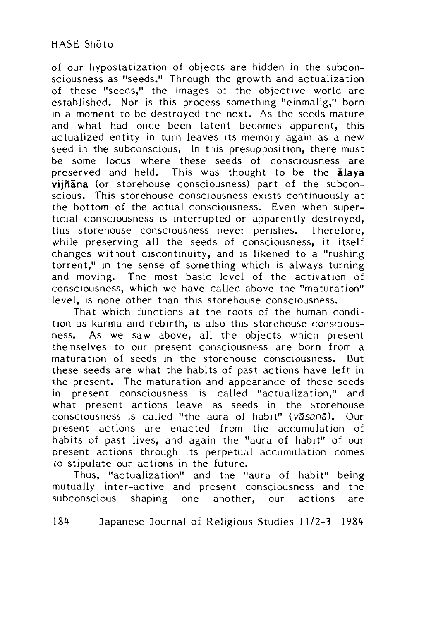of our hypostatization of objects are hidden in the subconsciousness as "seeds." Through the growth and actualization of these "seeds," the images of the objective world are established. Nor is this process something "einmalig," born in a moment to be destroyed the next. As the seeds mature and what had once been latent becomes apparent, this actualized entity in turn leaves its memory again as a new seed in the subconscious. In this presupposition, there must be some locus where these seeds of consciousness are preserved and held. This was thought to be the alava  $viiñāna$  (or storehouse consciousness) part of the subconscious. This storehouse consciousness exists continuously at the bottom of the actual consciousness. Even when superficial consciousness is interrupted or apparently destroyed, this storehouse consciousness never perishes. Therefore, while preserving all the seeds of consciousness, it itself changes without discontinuity, and is likened to a "rushing torrent," in the sense of something which is always turning and moving. The most basic level of the activation of consciousness, which we have called above the "maturation" level, is none other than this storehouse consciousness.

That which functions at the roots of the human condition as karma and rebirth, is also this storehouse consciousness. As we saw above, all the objects which present themselves to our present consciousness are born from a maturation of seeds in the storehouse consciousness. But these seeds are what the habits of past actions have left in the present. The maturation and appearance of these seeds in present consciousness is called "actualization," and what present actions leave as seeds in the storehouse consciousness is called "the aura of habit" *(vasana).* Our present actions are enacted from the accumulation ot habits of past lives, and again the "aura of habit" of our present actions through its perpetual accumulation comes co stipulate our actions in the future.

Thus, "actualization" and the "aura of habit" being mutually inter-active and present consciousness and the subconscious shaping one another, our actions are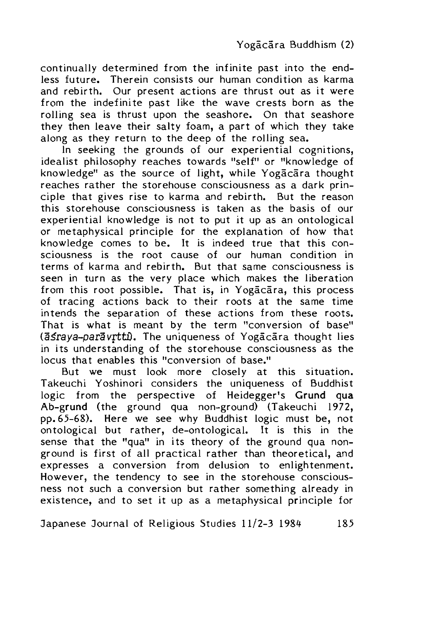continually determined from the infinite past into the endless future. Therein consists our human condition as karma and rebirth. Our present actions are thrust out as it were from the indefinite past like the wave crests born as the rolling sea is thrust upon the seashore. On that seashore they then leave their salty foam, a part of which they take along as they return to the deep of the rolling sea.

In seeking the grounds of our experiential cognitions, idealist philosophy reaches towards "self" or "knowledge of knowledge" as the source of light, while Yogacara thought reaches rather the storehouse consciousness as a dark principle that gives rise to karma and rebirth. But the reason this storehouse consciousness is taken as the basis of our experiential knowledge is not to put it up as an ontological or metaphysical principle for the explanation of how that knowledge comes to be. It is indeed true that this consciousness is the root cause of our human condition in terms of karma and rebirth. But that same consciousness is seen in turn as the very place which makes the liberation from this root possible. That is, in Yogacara, this process of tracing actions back to their roots at the same time intends the separation of these actions from these roots. That is what is meant by the term "conversion of base" (asraya-paravrtti). The uniqueness of Yogacara thought lies in its understanding of the storehouse consciousness as the locus that enables this "conversion of base."

But we must look more closely at this situation. Takeuchi Yoshinori considers the uniqueness of Buddhist logic from the perspective of Heidegger's Grund qua Ab-grund (the ground qua non-ground) (Takeuchi 1972, pp. 65-68). Here we see why Buddhist logic must be, not ontological but rather, de-ontological. It is this in the sense that the "qua" in its theory of the ground qua nonground is first of all practical rather than theoretical, and expresses a conversion from delusion to enlightenment. However, the tendency to see in the storehouse consciousness not such a conversion but rather something already in existence, and to set it up as a metaphysical principle for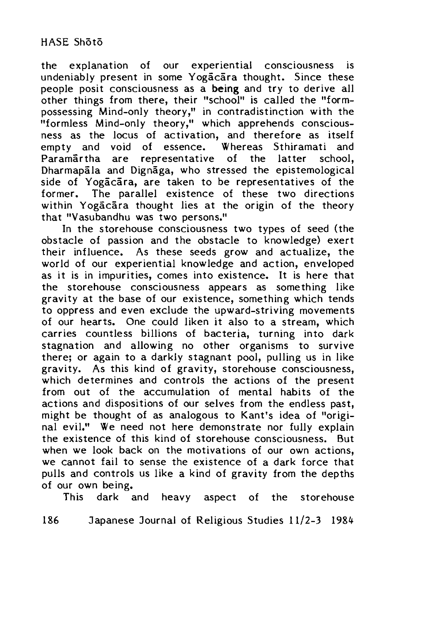the explanation of our experiential consciousness is undeniably present in some Yogacara thought. Since these people posit consciousness as a being and try to derive all other things from there, their "school" is called the "formpossessing Mind-only theory," in contradistinction with the "formless Mind-only theory," which apprehends consciousness as the locus of activation, and therefore as itself empty and void of essence. Whereas Sthiramati and Paramartha are representative of the latter school, Dharmapala and Dignaga, who stressed the epistemological side of Yogacara, are taken to be representatives of the former. The parallel existence of these two directions within Yogacara thought lies at the origin of the theory that "Vasubandhu was two persons."

In the storehouse consciousness two types of seed (the obstacle of passion and the obstacle to knowledge) exert their influence. As these seeds grow and actualize, the world of our experiential knowledge and action, enveloped as it is in impurities, comes into existence. It is here that the storehouse consciousness appears as something like gravity at the base of our existence, something which tends to oppress and even exclude the upward-striving movements of our hearts. One could liken it also to a stream, which carries countless billions of bacteria, turning into dark stagnation and allowing no other organisms to survive there; or again to a darkly stagnant pool, pulling us in like gravity. As this kind of gravity, storehouse consciousness, which determines and controls the actions of the present from out of the accumulation of mental habits of the actions and dispositions of our selves from the endless past, might be thought of as analogous to Kant's idea of "original evil." We need not here demonstrate nor fully explain the existence of this kind of storehouse consciousness. But when we look back on the motivations of our own actions, we cannot fail to sense the existence of a dark force that pulls and controls us like a kind of gravity from the depths of our own being.

This dark and heavy aspect of the storehouse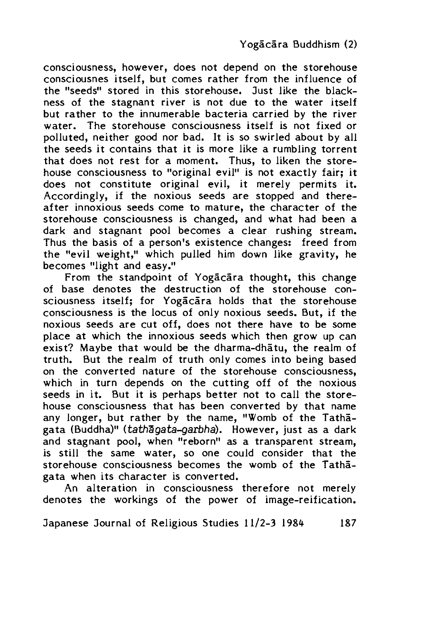consciousness, however, does not depend on the storehouse consciousnes itself, but comes rather from the influence of the "seeds" stored in this storehouse. Just like the blackness of the stagnant river is not due to the water itself but rather to the innumerable bacteria carried by the river water. The storehouse consciousness itself is not fixed or polluted, neither good nor bad. It is so swirled about by all the seeds it contains that it is more like a rumbling torrent that does not rest for a moment. Thus, to liken the storehouse consciousness to "original evil" is not exactly fair; it does not constitute original evil, it merely permits it. Accordingly, if the noxious seeds are stopped and thereafter innoxious seeds come to mature, the character of the storehouse consciousness is changed, and what had been a dark and stagnant pool becomes a clear rushing stream. Thus the basis of a person's existence changes: freed from the "evil weight," which pulled him down like gravity, he becomes "light and easy."

From the standpoint of Yogacara thought, this change of base denotes the destruction of the storehouse consciousness itself: for Yogacara holds that the storehouse consciousness is the locus of only noxious seeds. But, if the noxious seeds are cut off, does not there have to be some place at which the innoxious seeds which then grow up can exist? Maybe that would be the dharma-dhatu, the realm of truth. But the realm of truth only comes into being based on the converted nature of the storehouse consciousness, which in turn depends on the cutting off of the noxious seeds in it. But it is perhaps better not to call the storehouse consciousness that has been converted by that name any longer, but rather by the name, "Womb of the Tathagata (Buddha)" (*tathagata-garbha*). However, just as a dark and stagnant pool, when "reborn" as a transparent stream, is still the same water, so one could consider that the storehouse consciousness becomes the womb of the Tathagata when its character is converted.

An alteration in consciousness therefore not merely denotes the workings of the power of image-reification.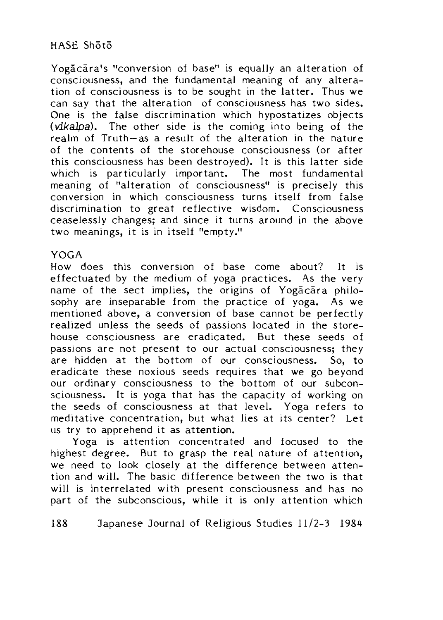Yogãcara's "conversion of base" is equally an alteration of consciousness, and the fundamental meaning of any alteration of consciousness is to be sought in the latter. Thus we can say that the alteration of consciousness has two sides. One is the false discrimination which hypostatizes objects (*vikalpa*). The other side is the coming into being of the realm of Truth-as a result of the alteration in the nature of the contents of the storehouse consciousness (or after this consciousness has been destroyed). It is this latter side which is particularly important. The most fundamental meaning of "alteration of consciousness" is precisely this conversion in which consciousness turns itself from false discrimination to great reflective wisdom. Consciousness ceaselessly changes; and since it turns around in the above two meanings, it is in itself "empty."

#### YOGA

How does this conversion of base come about? It is effectuated by the medium of yoga practices. As the very name of the sect implies, the origins of Yogacara philosophy are inseparable from the practice of yoga. As we mentioned above, a conversion of base cannot be perfectly realized unless the seeds of passions located in the storehouse consciousness are eradicated. But these seeds of passions are not present to our actual consciousness; they are hidden at the bottom of our consciousness. So, to eradicate these noxious seeds requires that we go beyond our ordinary consciousness to the bottom of our subconsciousness. It is yoga that has the capacity of working on the seeds of consciousness at that level. Yoga refers to meditative concentration, but what lies at its center? Let us try to apprehend it as attention.

Yoga is attention concentrated and focused to the highest degree. But to grasp the real nature of attention, we need to look closely at the difference between attention and will. The basic difference between the two is that will is interrelated with present consciousness and has no part of the subconscious, while it is only attention which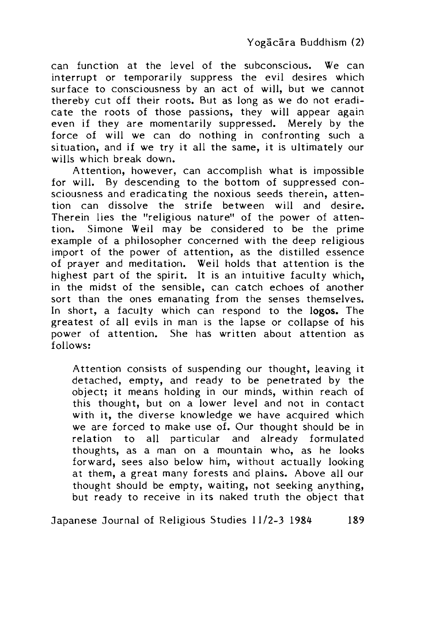can function at the level of the subconscious. We can interrupt or temporarily suppress the evil desires which surface to consciousness by an act of will, but we cannot thereby cut off their roots. But as long as we do not eradicate the roots of those passions, they will appear again even if they are momentarily suppressed. Merely by the force of will we can do nothing in confronting such a situation, and if we try it all the same, it is ultimately our wills which break down.

Attention, however, can accomplish what is impossible for will. By descending to the bottom of suppressed consciousness and eradicating the noxious seeds therein, attention can dissolve the strife between will and desire. Therein lies the "religious nature" of the power of attention. Simone Weil may be considered to be the prime example of a philosopher concerned with the deep religious import of the power of attention, as the distilled essence of prayer and meditation. Weil holds that attention is the highest part of the spirit. It is an intuitive faculty which, in the midst of the sensible, can catch echoes of another sort than the ones emanating from the senses themselves. In short, a faculty which can respond to the logos. The greatest of all evils in man is the lapse or collapse of his power of attention. She has written about attention as follows:

Attention consists of suspending our thought, leaving it detached, empty, and ready to be penetrated by the object; it means holding in our minds, within reach of this thought, but on a lower level and not in contact with it, the diverse knowledge we have acquired which we are forced to make use of. Our thought should be in relation to all particular and already formulated thoughts, as a man on a mountain who, as he looks forward, sees also below him, without actually looking at them, a great many forests and plains. Above all our thought should be empty, waiting, not seeking anything, but ready to receive in its naked truth the object that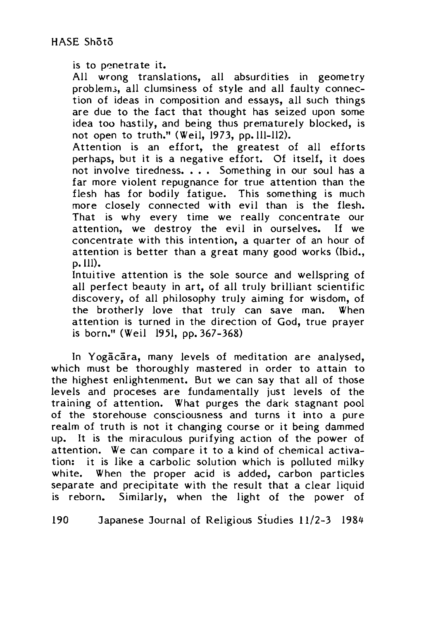is to penetrate it.

All wrong translations, all absurdities in geometry problem;, all clumsiness of style and all faulty connection of ideas in composition and essays, all such things are due to the fact that thought has seized upon some idea too hastily, and being thus prematurely blocked, is not open to truth." (Weil, 1973, pp. 111-112).

Attention is an effort, the greatest of all efforts perhaps, but it is a negative effort. Of itself, it does not involve tiredness. . . Something in our soul has a far more violent repugnance for true attention than the flesh has for bodily fatigue. This something is much more closely connected with evil than is the flesh. That is why every time we really concentrate our attention, we destroy the evil in ourselves. If we concentrate with this intention, a quarter of an hour of attention is better than a great many good works (Ibid., p. 111).

Intuitive attention is the sole source and wellspring of all perfect beauty in art, of all truly brilliant scientific discovery, of all philosophy truly aiming for wisdom, of the brotherly love that truly can save man. When attention is turned in the direction of God, true prayer is born." (Weil 1951, pp. 367-368)

In Yogacara, many levels of meditation are analysed, which must be thoroughly mastered in order to attain to the highest enlightenment. But we can say that all of those levels and proceses are fundamentally just levels of the training of attention. What purges the dark stagnant pool of the storehouse consciousness and turns it into a pure realm of truth is not it changing course or it being dammed up. It is the miraculous purifying action of the power of attention. We can compare it to a kind of chemical activation: it is like a carbolic solution which is polluted milky white. When the proper acid is added, carbon particles separate and precipitate with the result that a clear liquid is reborn. Similarly, when the light of the power of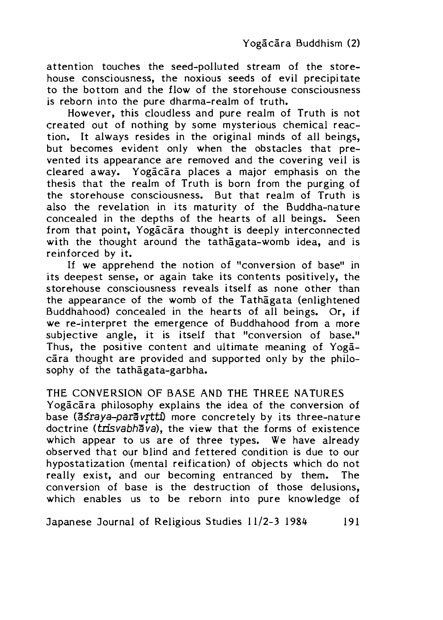attention touches the seed-polluted stream of the storehouse consciousness, the noxious seeds of evil precipitate to the bottom and the flow of the storehouse consciousness is reborn into the pure dharma-realm of truth.

However, this cloudless and pure realm of Truth is not created out of nothing by some mysterious chemical reaction. It always resides in the original minds of all beings, but becomes evident only when the obstacles that prevented its appearance are removed and the covering veil is cleared away. Yogacara places a major emphasis on the thesis that the realm of Truth is born from the purging of the storehouse consciousness. But that realm of Truth is also the revelation in its maturity of the Buddha-nature concealed in the depths of the hearts of all beings. Seen from that point, Yogacara thought is deeply interconnected with the thought around the tathagata-womb idea, and is reinforced by it.

If we apprehend the notion of "conversion of base" in its deepest sense, or again take its contents positively, the storehouse consciousness reveals itself as none other than the appearance of the womb of the Tathagata (enlightened Buddhahood) concealed in the hearts of all beings. Or, if we re-interpret the emergence of Buddhahood from a more subjective angle, it is itself that "conversion of base." Thus, the positive content and ultimate meaning of Yogacara thought are provided and supported only by the philosophy of the tathagata-garbha.

THE CONVERSION OF BASE AND THE THREE NATURES

Yogācāra philosophy explains the idea of the conversion of base (asraya-paravrtti) more concretely by its three-nature doctrine (trisvabhava), the view that the forms of existence which appear to us are of three types. We have already observed that our blind and fettered condition is due to our hypostatization (mental reification) of objects which do not really exist, and our becoming entranced by them. The conversion of base is the destruction of those delusions, which enables us to be reborn into pure knowledge of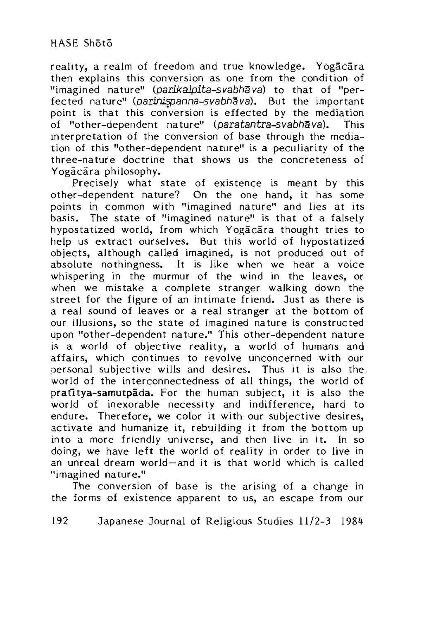reality, a realm of freedom and true knowledge. Yogacara then explains this conversion as one from the condition of "imagined nature" *(parikalpita-svabha va)* to that of "perfected nature" (parinispanna-svabhava). But the important point is that this conversion is effected by the mediation of "other-dependent nature" *(paratantra-svabh^va).* This interpretation of the conversion of base through the mediation of this "other-dependent nature" is a peculiarity of the three-nature doctrine that shows us the concreteness of Yogācāra philosophy.

Precisely what state of existence is meant by this other-dependent nature? On the one hand, it has some points in common with "imagined nature" and lies at its basis. The state of "imagined nature" is that of a falsely hypostatized world, from which Yogacara thought tries to help us extract ourselves. But this world of hypostatized objects, although called imagined, is not produced out of absolute nothingness. It is like when we hear a voice whispering in the murmur of the wind in the leaves, or when we mistake a complete stranger walking down the street for the figure of an intimate friend. 3ust as there is a real sound of leaves or a real stranger at the bottom of our illusions, so the state of imagined nature is constructed upon "other-dependent nature." This other-dependent nature is a world of objective reality, a world of humans and affairs, which continues to revolve unconcerned with our personal subjective wills and desires. Thus it is also the world of the interconnectedness of all things, the world of pratitya-samutpada. For the human subject, it is also the world of inexorable necessity and indifference, hard to endure. Therefore, we color it with our subjective desires, activate and humanize it, rebuilding it from the bottom up into a more friendly universe, and then live in it. In so doing, we have left the world of reality in order to live in an unreal dream world—and it is that world which is called "imagined nature."

The conversion of base is the arising of a change in the forms of existence apparent to us, an escape from our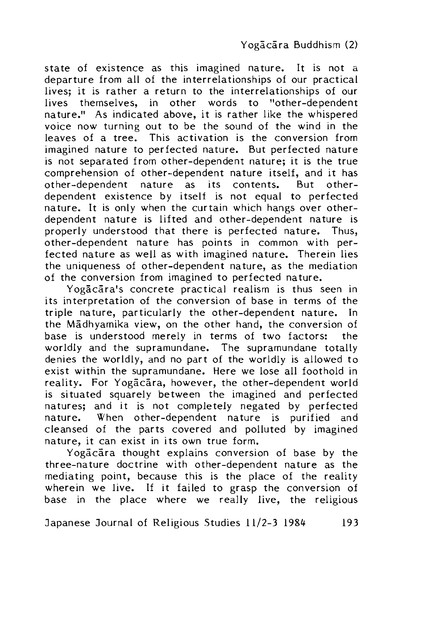state of existence as this imagined nature. It is not a departure from all of the interrelationships of our practical lives; it is rather a return to the interrelationships of our lives themselves, in other words to "other-dependent nature." As indicated above, it is rather like the whispered voice now turning out to be the sound of the wind in the leaves of a tree. This activation is the conversion from imagined nature to perfected nature. But perfected nature is not separated from other-dependent nature; it is the true comprehension of other-dependent nature itself, and it has other-dependent nature as its contents. But otherdependent existence by itself is not equal to perfected nature. It is only when the curtain which hangs over otherdependent nature is lifted and other-dependent nature is properly understood that there is perfected nature. Thus, other-dependent nature has points in common with perfected nature as well as with imagined nature. Therein lies the uniqueness of other-dependent nature, as the mediation of the conversion from imagined to perfected nature.

Yogacara's concrete practical realism is thus seen in its interpretation of the conversion of base in terms of the triple nature, particularly the other-dependent nature. In the Madhyamika view, on the other hand, the conversion of base is understood merely in terms of two factors: the worldly and the supramundane. The supramundane totally denies the worldly, and no part of the worldly is allowed to exist within the supramundane. Here we lose all foothold in reality. For Yogacara, however, the other-dependent world is situated squarely between the imagined and perfected natures; and it is not completely negated by perfected nature. When other-dependent nature is purified and cleansed of the parts covered and polluted by imagined nature, it can exist in its own true form.

Yogacara thought explains conversion of base by the three-nature doctrine with other-dependent nature as the mediating point, because this is the place of the reality wherein we live. If it failed to grasp the conversion of base in the place where we really live, the religious